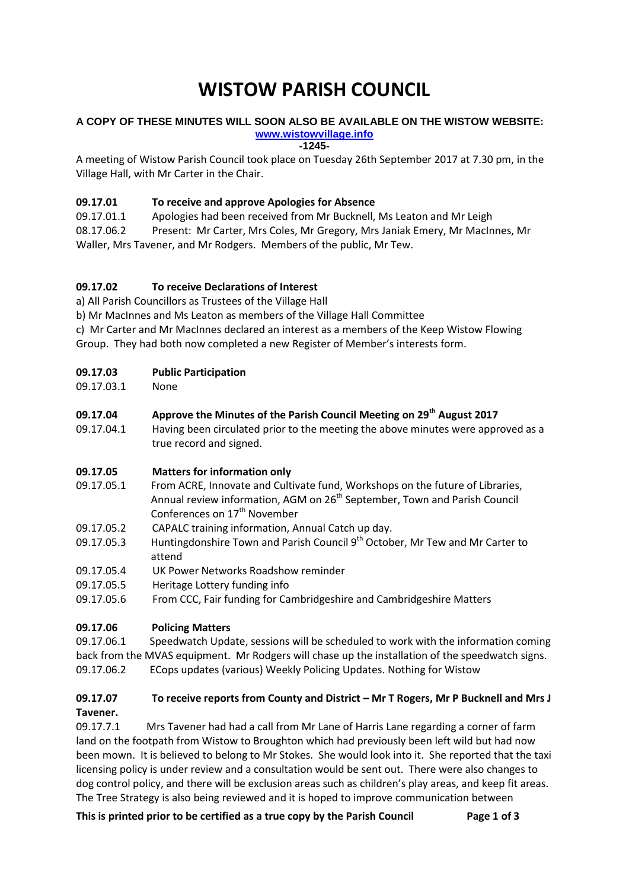# **WISTOW PARISH COUNCIL**

#### **A COPY OF THESE MINUTES WILL SOON ALSO BE AVAILABLE ON THE WISTOW WEBSITE: [www.wistowvillage.info](http://www.wistowvillage.info/)**

**-1245-**

A meeting of Wistow Parish Council took place on Tuesday 26th September 2017 at 7.30 pm, in the Village Hall, with Mr Carter in the Chair.

## **09.17.01 To receive and approve Apologies for Absence**

09.17.01.1 Apologies had been received from Mr Bucknell, Ms Leaton and Mr Leigh

08.17.06.2 Present: Mr Carter, Mrs Coles, Mr Gregory, Mrs Janiak Emery, Mr MacInnes, Mr Waller, Mrs Tavener, and Mr Rodgers. Members of the public, Mr Tew.

# **09.17.02 To receive Declarations of Interest**

a) All Parish Councillors as Trustees of the Village Hall

b) Mr MacInnes and Ms Leaton as members of the Village Hall Committee

c) Mr Carter and Mr MacInnes declared an interest as a members of the Keep Wistow Flowing Group. They had both now completed a new Register of Member's interests form.

## **09.17.03 Public Participation**

09.17.03.1 None

# **09.17.04 Approve the Minutes of the Parish Council Meeting on 29th August 2017**

09.17.04.1 Having been circulated prior to the meeting the above minutes were approved as a true record and signed.

## **09.17.05 Matters for information only**

- 09.17.05.1 From ACRE, Innovate and Cultivate fund, Workshops on the future of Libraries, Annual review information, AGM on 26<sup>th</sup> September, Town and Parish Council Conferences on 17<sup>th</sup> November
- 09.17.05.2 CAPALC training information, Annual Catch up day.
- 09.17.05.3 Huntingdonshire Town and Parish Council 9<sup>th</sup> October, Mr Tew and Mr Carter to attend
- 09.17.05.4 UK Power Networks Roadshow reminder
- 09.17.05.5 Heritage Lottery funding info
- 09.17.05.6 From CCC, Fair funding for Cambridgeshire and Cambridgeshire Matters

## **09.17.06 Policing Matters**

09.17.06.1 Speedwatch Update, sessions will be scheduled to work with the information coming back from the MVAS equipment. Mr Rodgers will chase up the installation of the speedwatch signs. 09.17.06.2 ECops updates (various) Weekly Policing Updates. Nothing for Wistow

## **09.17.07 To receive reports from County and District – Mr T Rogers, Mr P Bucknell and Mrs J Tavener.**

09.17.7.1 Mrs Tavener had had a call from Mr Lane of Harris Lane regarding a corner of farm land on the footpath from Wistow to Broughton which had previously been left wild but had now been mown. It is believed to belong to Mr Stokes. She would look into it. She reported that the taxi licensing policy is under review and a consultation would be sent out. There were also changes to dog control policy, and there will be exclusion areas such as children's play areas, and keep fit areas. The Tree Strategy is also being reviewed and it is hoped to improve communication between

**This is printed prior to be certified as a true copy by the Parish Council Page 1 of 3**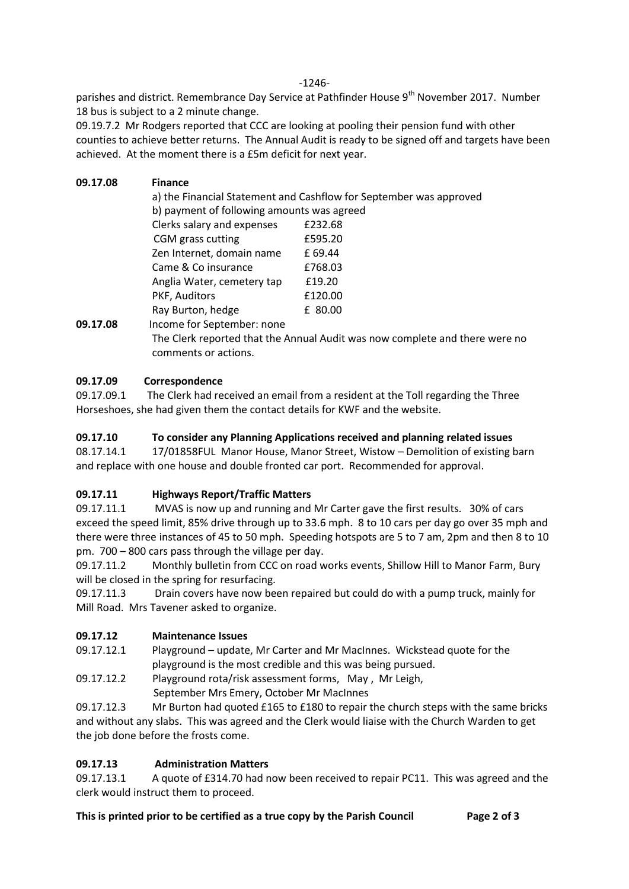-1246-

parishes and district. Remembrance Day Service at Pathfinder House 9<sup>th</sup> November 2017. Number 18 bus is subject to a 2 minute change.

09.19.7.2 Mr Rodgers reported that CCC are looking at pooling their pension fund with other counties to achieve better returns. The Annual Audit is ready to be signed off and targets have been achieved. At the moment there is a £5m deficit for next year.

| 09.17.08 | <b>Finance</b>                                                          |         |  |
|----------|-------------------------------------------------------------------------|---------|--|
|          | a) the Financial Statement and Cashflow for September was approved      |         |  |
|          | b) payment of following amounts was agreed                              |         |  |
|          | Clerks salary and expenses                                              | £232.68 |  |
|          | CGM grass cutting                                                       | £595.20 |  |
|          | Zen Internet, domain name                                               | £ 69.44 |  |
|          | Came & Co insurance                                                     | £768.03 |  |
|          | Anglia Water, cemetery tap                                              | £19.20  |  |
|          | PKF, Auditors                                                           | £120.00 |  |
|          | Ray Burton, hedge                                                       | £ 80.00 |  |
| 09.17.08 | Income for September: none                                              |         |  |
|          | The Clerk repeated that the Apple Audit was paul annualete and there we |         |  |

The Clerk reported that the Annual Audit was now complete and there were no comments or actions.

# **09.17.09 Correspondence**

09.17.09.1 The Clerk had received an email from a resident at the Toll regarding the Three Horseshoes, she had given them the contact details for KWF and the website.

## **09.17.10 To consider any Planning Applications received and planning related issues**

08.17.14.1 17/01858FUL Manor House, Manor Street, Wistow – Demolition of existing barn and replace with one house and double fronted car port. Recommended for approval.

## **09.17.11 Highways Report/Traffic Matters**

09.17.11.1 MVAS is now up and running and Mr Carter gave the first results. 30% of cars exceed the speed limit, 85% drive through up to 33.6 mph. 8 to 10 cars per day go over 35 mph and there were three instances of 45 to 50 mph. Speeding hotspots are 5 to 7 am, 2pm and then 8 to 10 pm. 700 – 800 cars pass through the village per day.

09.17.11.2 Monthly bulletin from CCC on road works events, Shillow Hill to Manor Farm, Bury will be closed in the spring for resurfacing.

09.17.11.3 Drain covers have now been repaired but could do with a pump truck, mainly for Mill Road. Mrs Tavener asked to organize.

## **09.17.12 Maintenance Issues**

09.17.12.1 Playground – update, Mr Carter and Mr MacInnes. Wickstead quote for the playground is the most credible and this was being pursued.

09.17.12.2 Playground rota/risk assessment forms, May , Mr Leigh, September Mrs Emery, October Mr MacInnes

09.17.12.3 Mr Burton had quoted £165 to £180 to repair the church steps with the same bricks and without any slabs. This was agreed and the Clerk would liaise with the Church Warden to get the job done before the frosts come.

## **09.17.13 Administration Matters**

09.17.13.1 A quote of £314.70 had now been received to repair PC11. This was agreed and the clerk would instruct them to proceed.

**This is printed prior to be certified as a true copy by the Parish Council Page 2 of 3**